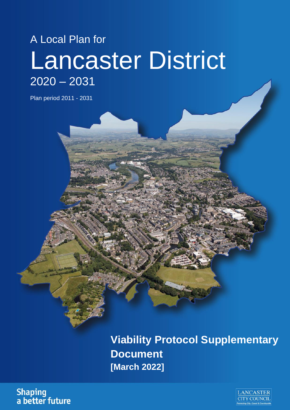# A Local Plan for Lancaster District 2020 – 2031

Plan period 2011 - 2031

**Viability Protocol Supplementary Document [March 2022]**

**Shaping** a better future

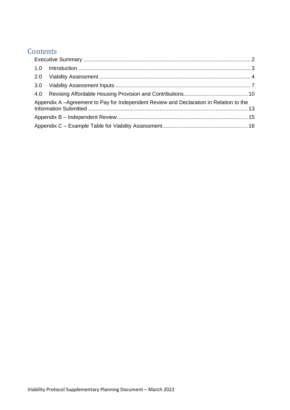## **Contents**

| Appendix A -Agreement to Pay for Independent Review and Declaration in Relation to the |  |  |  |  |  |
|----------------------------------------------------------------------------------------|--|--|--|--|--|
|                                                                                        |  |  |  |  |  |
|                                                                                        |  |  |  |  |  |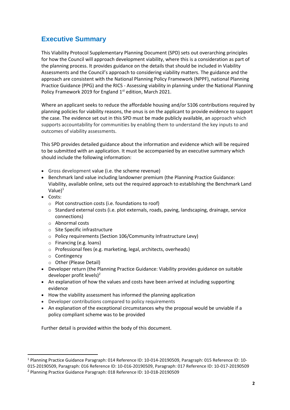## <span id="page-2-0"></span>**Executive Summary**

This Viability Protocol Supplementary Planning Document (SPD) sets out overarching principles for how the Council will approach development viability, where this is a consideration as part of the planning process. It provides guidance on the details that should be included in Viability Assessments and the Council's approach to considering viability matters. The guidance and the approach are consistent with the National Planning Policy Framework (NPPF), national Planning Practice Guidance (PPG) and the RICS - Assessing viability in planning under the National Planning Policy Framework 2019 for England 1<sup>st</sup> edition, March 2021.

Where an applicant seeks to reduce the affordable housing and/or S106 contributions required by planning policies for viability reasons, the onus is on the applicant to provide evidence to support the case. The evidence set out in this SPD must be made publicly available, an approach which supports accountability for communities by enabling them to understand the key inputs to and outcomes of viability assessments.

This SPD provides detailed guidance about the information and evidence which will be required to be submitted with an application. It must be accompanied by an executive summary which should include the following information:

- Gross development value (i.e. the scheme revenue)
- Benchmark land value including landowner premium (the Planning Practice Guidance: Viability, available online, sets out the required approach to establishing the Benchmark Land Value $)^1$
- Costs:
	- $\circ$  Plot construction costs (i.e. foundations to roof)
	- o Standard external costs (i.e. plot externals, roads, paving, landscaping, drainage, service connections)
	- o Abnormal costs
	- o Site Specific infrastructure
	- o Policy requirements (Section 106/Community Infrastructure Levy)
	- o Financing (e.g. loans)
	- o Professional fees (e.g. marketing, legal, architects, overheads)
	- o Contingency
	- o Other (Please Detail)
- Developer return (the Planning Practice Guidance: Viability provides guidance on suitable developer profit levels)<sup>2</sup>
- An explanation of how the values and costs have been arrived at including supporting evidence
- How the viability assessment has informed the planning application
- Developer contributions compared to policy requirements
- An explanation of the exceptional circumstances why the proposal would be unviable if a policy compliant scheme was to be provided

Further detail is provided within the body of this document.

<sup>1</sup> Planning Practice Guidance Paragraph: 014 Reference ID: 10-014-20190509, Paragraph: 015 Reference ID: 10-

<sup>015-20190509,</sup> Paragraph: 016 Reference ID: 10-016-20190509, Paragraph: 017 Reference ID: 10-017-20190509

<sup>2</sup> Planning Practice Guidance Paragraph: 018 Reference ID: 10-018-20190509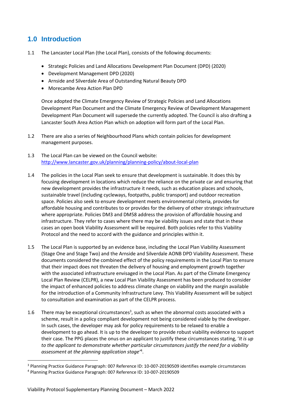## <span id="page-3-0"></span>**1.0 Introduction**

- 1.1 The Lancaster Local Plan (the Local Plan), consists of the following documents:
	- Strategic Policies and Land Allocations Development Plan Document (DPD) (2020)
	- Development Management DPD (2020)
	- Arnside and Silverdale Area of Outstanding Natural Beauty DPD
	- Morecambe Area Action Plan DPD

Once adopted the Climate Emergency Review of Strategic Policies and Land Allocations Development Plan Document and the Climate Emergency Review of Development Management Development Plan Document will supersede the currently adopted. The Council is also drafting a Lancaster South Area Action Plan which on adoption will form part of the Local Plan.

- 1.2 There are also a series of Neighbourhood Plans which contain policies for development management purposes.
- 1.3 The Local Plan can be viewed on the Council website: <http://www.lancaster.gov.uk/planning/planning-policy/about-local-plan>
- 1.4 The policies in the Local Plan seek to ensure that development is sustainable. It does this by focusing development in locations which reduce the reliance on the private car and ensuring that new development provides the infrastructure it needs, such as education places and schools, sustainable travel (including cycleways, footpaths, public transport) and outdoor recreation space. Policies also seek to ensure development meets environmental criteria, provides for affordable housing and contributes to or provides for the delivery of other strategic infrastructure where appropriate. Policies DM3 and DM58 address the provision of affordable housing and infrastructure. They refer to cases where there may be viability issues and state that in these cases an open book Viability Assessment will be required. Both policies refer to this Viability Protocol and the need to accord with the guidance and principles within it.
- 1.5 The Local Plan is supported by an evidence base, including the Local Plan Viability Assessment (Stage One and Stage Two) and the Arnside and Silverdale AONB DPD Viability Assessment. These documents considered the combined effect of the policy requirements in the Local Plan to ensure that their impact does not threaten the delivery of housing and employment growth together with the associated infrastructure envisaged in the Local Plan. As part of the Climate Emergency Local Plan Review (CELPR), a new Local Plan Viability Assessment has been produced to consider the impact of enhanced policies to address climate change on viability and the margin available for the introduction of a Community Infrastructure Levy. This Viability Assessment will be subject to consultation and examination as part of the CELPR process.
- 1.6 There may be exceptional circumstances<sup>3</sup>, such as when the abnormal costs associated with a scheme, result in a policy compliant development not being considered viable by the developer. In such cases, the developer may ask for policy requirements to be relaxed to enable a development to go ahead. It is up to the developer to provide robust viability evidence to support their case. The PPG places the onus on an applicant to justify these circumstances stating, '*It is up to the applicant to demonstrate whether particular circumstances justify the need for a viability assessment at the planning application stage'*<sup>4</sup> .

<sup>3</sup> Planning Practice Guidance Paragraph: 007 Reference ID: 10-007-20190509 identifies example circumstances

<sup>4</sup> Planning Practice Guidance Paragraph: 007 Reference ID: 10-007-20190509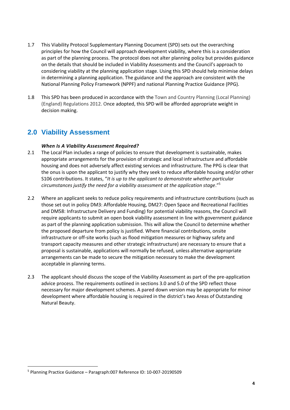- 1.7 This Viability Protocol Supplementary Planning Document (SPD) sets out the overarching principles for how the Council will approach development viability, where this is a consideration as part of the planning process. The protocol does not alter planning policy but provides guidance on the details that should be included in Viability Assessments and the Council's approach to considering viability at the planning application stage. Using this SPD should help minimise delays in determining a planning application. The guidance and the approach are consistent with the National Planning Policy Framework (NPPF) and national Planning Practice Guidance (PPG).
- 1.8 This SPD has been produced in accordance with the Town and Country Planning (Local Planning) (England) Regulations 2012. Once adopted, this SPD will be afforded appropriate weight in decision making.

## <span id="page-4-0"></span>**2.0 Viability Assessment**

#### *When Is A Viability Assessment Required?*

- 2.1 The Local Plan includes a range of policies to ensure that development is sustainable, makes appropriate arrangements for the provision of strategic and local infrastructure and affordable housing and does not adversely affect existing services and infrastructure. The PPG is clear that the onus is upon the applicant to justify why they seek to reduce affordable housing and/or other S106 contributions. It states, "*It is up to the applicant to demonstrate whether particular circumstances justify the need for a viability assessment at the application stage*."<sup>5</sup>
- 2.2 Where an applicant seeks to reduce policy requirements and infrastructure contributions (such as those set out in policy DM3: Affordable Housing, DM27: Open Space and Recreational Facilities and DM58: Infrastructure Delivery and Funding) for potential viability reasons, the Council will require applicants to submit an open book viability assessment in line with government guidance as part of the planning application submission. This will allow the Council to determine whether the proposed departure from policy is justified. Where financial contributions, onsite infrastructure or off-site works (such as flood mitigation measures or highway safety and transport capacity measures and other strategic infrastructure) are necessary to ensure that a proposal is sustainable, applications will normally be refused, unless alternative appropriate arrangements can be made to secure the mitigation necessary to make the development acceptable in planning terms.
- 2.3 The applicant should discuss the scope of the Viability Assessment as part of the pre-application advice process. The requirements outlined in sections 3.0 and 5.0 of the SPD reflect those necessary for major development schemes. A pared down version may be appropriate for minor development where affordable housing is required in the district's two Areas of Outstanding Natural Beauty.

<sup>5</sup> Planning Practice Guidance – Paragraph:007 Reference ID: 10-007-20190509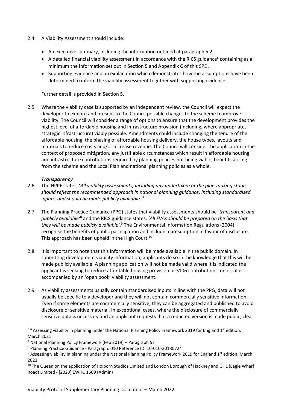- 2.4 A Viability Assessment should include:
	- An executive summary, including the information outlined at paragraph 5.2.
	- $\bullet$  A detailed financial viability assessment in accordance with the RICS guidance<sup>6</sup> containing as a minimum the information set out in Section 5 and Appendix C of this SPD.
	- Supporting evidence and an explanation which demonstrates how the assumptions have been determined to inform the viability assessment together with supporting evidence.

Further detail is provided in Section 5.

2.5 Where the viability case is supported by an independent review, the Council will expect the developer to explore and present to the Council possible changes to the scheme to improve viability. The Council will consider a range of options to ensure that the development provides the highest level of affordable housing and infrastructure provision (including, where appropriate, strategic infrastructure) viably possible. Amendments could include changing the tenure of the affordable housing, the phasing of affordable housing delivery, the house types, layouts and materials to reduce costs and/or increase revenue. The Council will consider the application in the context of proposed mitigation, any justifiable circumstances which result in affordable housing and infrastructure contributions required by planning policies not being viable, benefits arising from the scheme and the Local Plan and national planning policies as a whole.

#### *Transparency*

- 2.6 The NPPF states, '*All viability assessments, including any undertaken at the plan-making stage, should reflect the recommended approach in national planning guidance, including standardised inputs, and should be made publicly available.'*<sup>7</sup>
- 2.7 The Planning Practice Guidance (PPG) states that viability assessments should be *'transparent and publicly available'*<sup>8</sup> and the RICS guidance states, *'All FVAs should be prepared on the basis that they will be made publicly available'*. <sup>9</sup> The Environmental Information Regulations (2004) recognise the benefits of public participation and include a presumption in favour of disclosure. This approach has been upheld in the High Court.<sup>10</sup>
- 2.8 It is important to note that this information will be made available in the public domain. In submitting development viability information, applicants do so in the knowledge that this will be made publicly available. A planning application will not be made valid where it is indicated the applicant is seeking to reduce affordable housing provision or S106 contributions, unless it is accompanied by an 'open book' viability assessment.
- 2.9 As viability assessments usually contain standardised inputs in line with the PPG, data will not usually be specific to a developer and they will not contain commercially sensitive information. Even if some elements are commercially sensitive, they can be aggregated and published to avoid disclosure of sensitive material. In exceptional cases, where the disclosure of commercially sensitive data is necessary and an applicant requests that a redacted version is made public, clear

<sup>&</sup>lt;sup>66</sup> Assessing viability in planning under the National Planning Policy Framework 2019 for England 1<sup>st</sup> edition, March 2021

<sup>7</sup> National Planning Policy Framework (Feb 2019) – Paragraph 57

<sup>8</sup> Planning Practice Guidance - Paragraph: 010 Reference ID: 10-010-20180724

<sup>&</sup>lt;sup>9</sup> Assessing viability in planning under the National Planning Policy Framework 2019 for England 1<sup>st</sup> edition, March 2021

<sup>&</sup>lt;sup>10</sup> The Queen on the application of Holborn Studios Limited and London Borough of Hackney and GHL (Eagle Wharf Road) Limited - [2020] EWHC 1509 (Admin)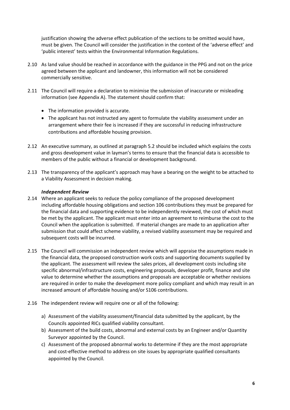justification showing the adverse effect publication of the sections to be omitted would have, must be given. The Council will consider the justification in the context of the 'adverse effect' and 'public interest' tests within the Environmental Information Regulations.

- 2.10 As land value should be reached in accordance with the guidance in the PPG and not on the price agreed between the applicant and landowner, this information will not be considered commercially sensitive.
- 2.11 The Council will require a declaration to minimise the submission of inaccurate or misleading information (see Appendix A). The statement should confirm that:
	- The information provided is accurate.
	- The applicant has not instructed any agent to formulate the viability assessment under an arrangement where their fee is increased if they are successful in reducing infrastructure contributions and affordable housing provision.
- 2.12 An executive summary, as outlined at paragraph 5.2 should be included which explains the costs and gross development value in layman's terms to ensure that the financial data is accessible to members of the public without a financial or development background.
- 2.13 The transparency of the applicant's approach may have a bearing on the weight to be attached to a Viability Assessment in decision making.

#### *Independent Review*

- 2.14 Where an applicant seeks to reduce the policy compliance of the proposed development including affordable housing obligations and section 106 contributions they must be prepared for the financial data and supporting evidence to be independently reviewed, the cost of which must be met by the applicant. The applicant must enter into an agreement to reimburse the cost to the Council when the application is submitted. If material changes are made to an application after submission that could affect scheme viability, a revised viability assessment may be required and subsequent costs will be incurred.
- 2.15 The Council will commission an independent review which will appraise the assumptions made in the financial data, the proposed construction work costs and supporting documents supplied by the applicant. The assessment will review the sales prices, all development costs including site specific abnormal/infrastructure costs, engineering proposals, developer profit, finance and site value to determine whether the assumptions and proposals are acceptable or whether revisions are required in order to make the development more policy compliant and which may result in an increased amount of affordable housing and/or S106 contributions.
- 2.16 The independent review will require one or all of the following:
	- a) Assessment of the viability assessment/financial data submitted by the applicant, by the Councils appointed RICs qualified viability consultant.
	- b) Assessment of the build costs, abnormal and external costs by an Engineer and/or Quantity Surveyor appointed by the Council.
	- c) Assessment of the proposed abnormal works to determine if they are the most appropriate and cost-effective method to address on site issues by appropriate qualified consultants appointed by the Council.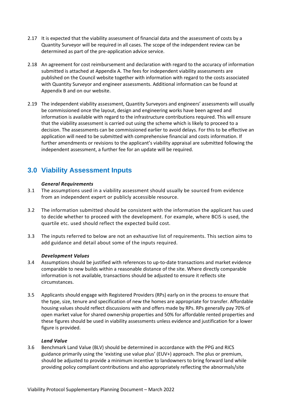- 2.17 It is expected that the viability assessment of financial data and the assessment of costs by a Quantity Surveyor will be required in all cases. The scope of the independent review can be determined as part of the pre-application advice service.
- 2.18 An agreement for cost reimbursement and declaration with regard to the accuracy of information submitted is attached at Appendix A. The fees for independent viability assessments are published on the Council website together with information with regard to the costs associated with Quantity Surveyor and engineer assessments. Additional information can be found at Appendix B and on our website.
- 2.19 The independent viability assessment, Quantity Surveyors and engineers' assessments will usually be commissioned once the layout, design and engineering works have been agreed and information is available with regard to the infrastructure contributions required. This will ensure that the viability assessment is carried out using the scheme which is likely to proceed to a decision. The assessments can be commissioned earlier to avoid delays. For this to be effective an application will need to be submitted with comprehensive financial and costs information. If further amendments or revisions to the applicant's viability appraisal are submitted following the independent assessment, a further fee for an update will be required.

## <span id="page-7-0"></span>**3.0 Viability Assessment Inputs**

#### *General Requirements*

- 3.1 The assumptions used in a viability assessment should usually be sourced from evidence from an independent expert or publicly accessible resource.
- 3.2 The information submitted should be consistent with the information the applicant has used to decide whether to proceed with the development. For example, where BCIS is used, the quartile etc. used should reflect the expected build cost.
- 3.3 The inputs referred to below are not an exhaustive list of requirements. This section aims to add guidance and detail about some of the inputs required.

#### *Development Values*

- 3.4 Assumptions should be justified with references to up-to-date transactions and market evidence comparable to new builds within a reasonable distance of the site. Where directly comparable information is not available, transactions should be adjusted to ensure it reflects site circumstances.
- 3.5 Applicants should engage with Registered Providers (RPs) early on in the process to ensure that the type, size, tenure and specification of new the homes are appropriate for transfer. Affordable housing values should reflect discussions with and offers made by RPs. RPs generally pay 70% of open market value for shared ownership properties and 50% for affordable rented properties and these figures should be used in viability assessments unless evidence and justification for a lower figure is provided.

#### *Land Value*

3.6 Benchmark Land Value (BLV) should be determined in accordance with the PPG and RICS guidance primarily using the 'existing use value plus' (EUV+) approach. The plus or premium, should be adjusted to provide a minimum incentive to landowners to bring forward land while providing policy compliant contributions and also appropriately reflecting the abnormals/site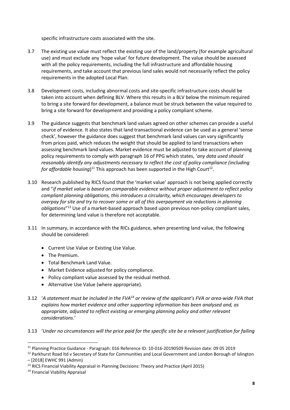specific infrastructure costs associated with the site.

- 3.7 The existing use value must reflect the existing use of the land/property (for example agricultural use) and must exclude any 'hope value' for future development. The value should be assessed with all the policy requirements, including the full infrastructure and affordable housing requirements, and take account that previous land sales would not necessarily reflect the policy requirements in the adopted Local Plan.
- 3.8 Development costs, including abnormal costs and site-specific infrastructure costs should be taken into account when defining BLV. Where this results in a BLV below the minimum required to bring a site forward for development, a balance must be struck between the value required to bring a site forward for development and providing a policy compliant scheme.
- 3.9 The guidance suggests that benchmark land values agreed on other schemes can provide a useful source of evidence. It also states that land transactional evidence can be used as a general 'sense check', however the guidance does suggest that benchmark land values can vary significantly from prices paid, which reduces the weight that should be applied to land transactions when assessing benchmark land values. Market evidence must be adjusted to take account of planning policy requirements to comply with paragraph 16 of PPG which states, '*any data used should reasonably identify any adjustments necessary to reflect the cost of policy compliance (including*  for affordable housing)<sup>11</sup> This approach has been supported in the High Court<sup>12</sup>.
- 3.10 Research published by RICS found that the 'market value' approach is not being applied correctly and "*if market value is based on comparable evidence without proper adjustment to reflect policy compliant planning obligations, this introduces a circularity, which encourages developers to overpay for site and try to recover some or all of this overpayment via reductions in planning obligations*" <sup>13</sup> Use of a market-based approach based upon previous non-policy compliant sales, for determining land value is therefore not acceptable.
- 3.11 In summary, in accordance with the RICs guidance, when presenting land value, the following should be considered:
	- Current Use Value or Existing Use Value.
	- The Premium.
	- Total Benchmark Land Value.
	- Market Evidence adjusted for policy compliance.
	- Policy compliant value assessed by the residual method.
	- Alternative Use Value (where appropriate).
- 3.12 '*A statement must be included in the FVA<sup>14</sup> or review of the applicant's FVA or area-wide FVA that explains how market evidence and other supporting information has been analysed and, as appropriate, adjusted to reflect existing or emerging planning policy and other relevant considerations*.'
- 3.13 '*Under no circumstances will the price paid for the specific site be a relevant justification for failing*

<sup>11</sup> Planning Practice Guidance - Paragraph: 016 Reference ID: 10-016-20190509 Revision date: 09 05 2019

<sup>&</sup>lt;sup>12</sup> Parkhurst Road ltd v Secretary of State for Communities and Local Government and London Borough of Islington – [2018] EWHC 991 (Admin)

<sup>13</sup> RICS Financial Viability Appraisal in Planning Decisions: Theory and Practice (April 2015)

<sup>14</sup> Financial Viability Appraisal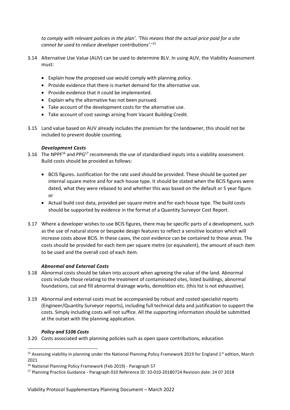*to comply with relevant policies in the plan'. 'This means that the actual price paid for a site cannot be used to reduce developer contributions'*.'<sup>15</sup>

- 3.14 Alternative Use Value (AUV) can be used to determine BLV. In using AUV, the Viability Assessment must:
	- Explain how the proposed use would comply with planning policy.
	- Provide evidence that there is market demand for the alternative use.
	- Provide evidence that it could be implemented.
	- Explain why the alternative has not been pursued.
	- Take account of the development costs for the alternative use.
	- Take account of cost savings arising from Vacant Building Credit.
- 3.15 Land value based on AUV already includes the premium for the landowner, this should not be included to prevent double counting.

#### *Development Costs*

- 3.16 The NPPF<sup>16</sup> and PPG<sup>17</sup> recommends the use of standardised inputs into a viability assessment. Build costs should be provided as follows:
	- BCIS figures. Justification for the rate used should be provided. These should be quoted per internal square metre and for each house type. It should be stated when the BCIS figures were dated, what they were rebased to and whether this was based on the default or 5 year figure. or
	- Actual build cost data, provided per square metre and for each house type. The build costs should be supported by evidence in the format of a Quantity Surveyor Cost Report.
- 3.17 Where a developer wishes to use BCIS figures, there may be specific parts of a development, such as the use of natural stone or bespoke design features to reflect a sensitive location which will increase costs above BCIS. In these cases, the cost evidence can be contained to those areas. The costs should be provided for each item per square metre (or equivalent), the amount of each item to be used and the overall cost of each item.

#### *Abnormal and External Costs*

- 3.18 Abnormal costs should be taken into account when agreeing the value of the land. Abnormal costs include those relating to the treatment of contaminated sites, listed buildings, abnormal foundations, cut and fill abnormal drainage works, demolition etc. (this list is not exhaustive).
- 3.19 Abnormal and external costs must be accompanied by robust and costed specialist reports (Engineer/Quantity Surveyor reports), including full technical data and justification to support the costs. Simply including costs will not suffice. All the supporting information should be submitted at the outset with the planning application.

#### *Policy and S106 Costs*

3.20 Costs associated with planning policies such as open space contributions, education

<sup>&</sup>lt;sup>15</sup> Assessing viability in planning under the National Planning Policy Framework 2019 for England 1<sup>st</sup> edition, March 2021

<sup>16</sup> National Planning Policy Framework (Feb 2019) - Paragraph 57

<sup>17</sup> Planning Practice Guidance - Paragraph 010 Reference ID: 10-010-20180724 Revision date: 24 07 2018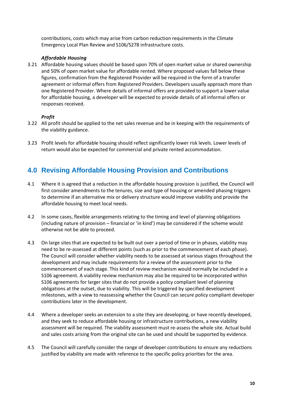contributions, costs which may arise from carbon reduction requirements in the Climate Emergency Local Plan Review and S106/S278 infrastructure costs.

#### *Affordable Housing*

3.21 Affordable housing values should be based upon 70% of open market value or shared ownership and 50% of open market value for affordable rented. Where proposed values fall below these figures, confirmation from the Registered Provider will be required in the form of a transfer agreement or informal offers from Registered Providers. Developers usually approach more than one Registered Provider. Where details of informal offers are provided to support a lower value for affordable housing, a developer will be expected to provide details of all informal offers or responses received.

#### *Profit*

- 3.22 All profit should be applied to the net sales revenue and be in keeping with the requirements of the viability guidance.
- 3.23 Profit levels for affordable housing should reflect significantly lower risk levels. Lower levels of return would also be expected for commercial and private rented accommodation.

## <span id="page-10-0"></span>**4.0 Revising Affordable Housing Provision and Contributions**

- 4.1 Where it is agreed that a reduction in the affordable housing provision is justified, the Council will first consider amendments to the tenures, size and type of housing or amended phasing triggers to determine if an alternative mix or delivery structure would improve viability and provide the affordable housing to meet local needs.
- 4.2 In some cases, flexible arrangements relating to the timing and level of planning obligations (including nature of provision – financial or 'in kind') may be considered if the scheme would otherwise not be able to proceed.
- 4.3 On large sites that are expected to be built out over a period of time or in phases, viability may need to be re-assessed at different points (such as prior to the commencement of each phase). The Council will consider whether viability needs to be assessed at various stages throughout the development and may include requirements for a review of the assessment prior to the commencement of each stage. This kind of review mechanism would normally be included in a S106 agreement. A viability review mechanism may also be required to be incorporated within S106 agreements for larger sites that do not provide a policy compliant level of planning obligations at the outset, due to viability. This will be triggered by specified development milestones, with a view to reassessing whether the Council can secure policy compliant developer contributions later in the development.
- 4.4 Where a developer seeks an extension to a site they are developing, or have recently developed, and they seek to reduce affordable housing or infrastructure contributions, a new viability assessment will be required. The viability assessment must re-assess the whole site. Actual build and sales costs arising from the original site can be used and should be supported by evidence.
- 4.5 The Council will carefully consider the range of developer contributions to ensure any reductions justified by viability are made with reference to the specific policy priorities for the area.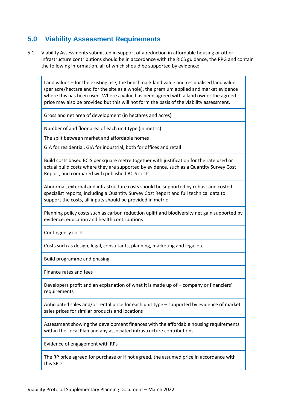## **5.0 Viability Assessment Requirements**

5.1 Viability Assessments submitted in support of a reduction in affordable housing or other infrastructure contributions should be in accordance with the RICS guidance, the PPG and contain the following information, all of which should be supported by evidence:

Land values – for the existing use, the benchmark land value and residualised land value (per acre/hectare and for the site as a whole), the premium applied and market evidence where this has been used. Where a value has been agreed with a land owner the agreed price may also be provided but this will not form the basis of the viability assessment.

Gross and net area of development (in hectares and acres)

Number of and floor area of each unit type (in metric)

The split between market and affordable homes

GIA for residential, GIA for industrial, both for offices and retail

Build costs based BCIS per square metre together with justification for the rate used or actual build costs where they are supported by evidence, such as a Quantity Survey Cost Report, and compared with published BCIS costs

Abnormal, external and infrastructure costs should be supported by robust and costed specialist reports, including a Quantity Survey Cost Report and full technical data to support the costs, all inputs should be provided in metric

Planning policy costs such as carbon reduction uplift and biodiversity net gain supported by evidence, education and health contributions

Contingency costs

Costs such as design, legal, consultants, planning, marketing and legal etc

Build programme and phasing

Finance rates and fees

Developers profit and an explanation of what it is made up of – company or financiers' requirements

Anticipated sales and/or rental price for each unit type – supported by evidence of market sales prices for similar products and locations

Assessment showing the development finances with the affordable housing requirements within the Local Plan and any associated infrastructure contributions

Evidence of engagement with RPs

The RP price agreed for purchase or if not agreed, the assumed price in accordance with this SPD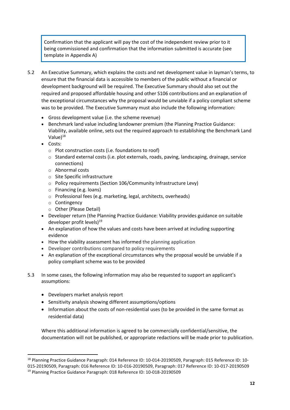Confirmation that the applicant will pay the cost of the independent review prior to it being commissioned and confirmation that the information submitted is accurate (see template in Appendix A)

- 5.2 An Executive Summary, which explains the costs and net development value in layman's terms, to ensure that the financial data is accessible to members of the public without a financial or development background will be required. The Executive Summary should also set out the required and proposed affordable housing and other S106 contributions and an explanation of the exceptional circumstances why the proposal would be unviable if a policy compliant scheme was to be provided. The Executive Summary must also include the following information:
	- Gross development value (i.e. the scheme revenue)
	- Benchmark land value including landowner premium (the Planning Practice Guidance: Viability, available online, sets out the required approach to establishing the Benchmark Land Value $1^{18}$
	- Costs:
		- o Plot construction costs (i.e. foundations to roof)
		- o Standard external costs (i.e. plot externals, roads, paving, landscaping, drainage, service connections)
		- o Abnormal costs
		- o Site Specific infrastructure
		- o Policy requirements (Section 106/Community Infrastructure Levy)
		- o Financing (e.g. loans)
		- o Professional fees (e.g. marketing, legal, architects, overheads)
		- o Contingency
		- o Other (Please Detail)
	- Developer return (the Planning Practice Guidance: Viability provides guidance on suitable developer profit levels) $19$
	- An explanation of how the values and costs have been arrived at including supporting evidence
	- How the viability assessment has informed the planning application
	- Developer contributions compared to policy requirements
	- An explanation of the exceptional circumstances why the proposal would be unviable if a policy compliant scheme was to be provided
- 5.3 In some cases, the following information may also be requested to support an applicant's assumptions:
	- Developers market analysis report
	- Sensitivity analysis showing different assumptions/options
	- Information about the costs of non-residential uses (to be provided in the same format as residential data)

Where this additional information is agreed to be commercially confidential/sensitive, the documentation will not be published, or appropriate redactions will be made prior to publication.

<sup>18</sup> Planning Practice Guidance Paragraph: 014 Reference ID: 10-014-20190509, Paragraph: 015 Reference ID: 10- 015-20190509, Paragraph: 016 Reference ID: 10-016-20190509, Paragraph: 017 Reference ID: 10-017-20190509 <sup>19</sup> Planning Practice Guidance Paragraph: 018 Reference ID: 10-018-20190509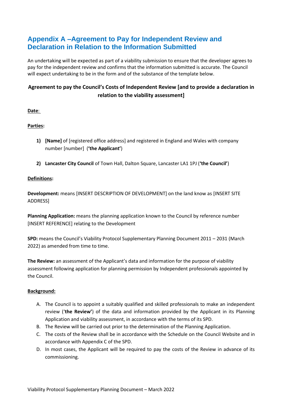## <span id="page-13-0"></span>**Appendix A –Agreement to Pay for Independent Review and Declaration in Relation to the Information Submitted**

An undertaking will be expected as part of a viability submission to ensure that the developer agrees to pay for the independent review and confirms that the information submitted is accurate. The Council will expect undertaking to be in the form and of the substance of the template below.

### **Agreement to pay the Council's Costs of Independent Review [and to provide a declaration in relation to the viability assessment]**

**Date**:

#### **Parties:**

- **1) [Name]** of [registered office address] and registered in England and Wales with company number [number] (**'the Applicant'**)
- **2) Lancaster City Council** of Town Hall, Dalton Square, Lancaster LA1 1PJ (**'the Council'**)

#### **Definitions:**

**Development:** means [INSERT DESCRIPTION OF DEVELOPMENT] on the land know as [INSERT SITE ADDRESS]

**Planning Application:** means the planning application known to the Council by reference number [INSERT REFERENCE] relating to the Development

**SPD:** means the Council's Viability Protocol Supplementary Planning Document 2011 – 2031 (March 2022) as amended from time to time.

**The Review:** an assessment of the Applicant's data and information for the purpose of viability assessment following application for planning permission by Independent professionals appointed by the Council.

#### **Background:**

- A. The Council is to appoint a suitably qualified and skilled professionals to make an independent review ('**the Review'**) of the data and information provided by the Applicant in its Planning Application and viability assessment, in accordance with the terms of its SPD.
- B. The Review will be carried out prior to the determination of the Planning Application.
- C. The costs of the Review shall be in accordance with the Schedule on the Council Website and in accordance with Appendix C of the SPD.
- D. In most cases, the Applicant will be required to pay the costs of the Review in advance of its commissioning.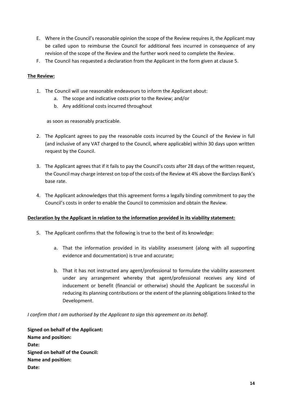- E. Where in the Council's reasonable opinion the scope of the Review requires it, the Applicant may be called upon to reimburse the Council for additional fees incurred in consequence of any revision of the scope of the Review and the further work need to complete the Review.
- F. The Council has requested a declaration from the Applicant in the form given at clause [5.](#page-14-0)

#### **The Review:**

- 1. The Council will use reasonable endeavours to inform the Applicant about:
	- a. The scope and indicative costs prior to the Review; and/or
	- b. Any additional costs incurred throughout

as soon as reasonably practicable.

- 2. The Applicant agrees to pay the reasonable costs incurred by the Council of the Review in full (and inclusive of any VAT charged to the Council, where applicable) within 30 days upon written request by the Council.
- 3. The Applicant agrees that if it fails to pay the Council's costs after 28 days of the written request, the Council may charge interest on top of the costs of the Review at 4% above the Barclays Bank's base rate.
- 4. The Applicant acknowledges that this agreement forms a legally binding commitment to pay the Council's costs in order to enable the Council to commission and obtain the Review.

#### **Declaration by the Applicant in relation to the information provided in its viability statement:**

- <span id="page-14-0"></span>5. The Applicant confirms that the following is true to the best of its knowledge:
	- a. That the information provided in its viability assessment (along with all supporting evidence and documentation) is true and accurate;
	- b. That it has not instructed any agent/professional to formulate the viability assessment under any arrangement whereby that agent/professional receives any kind of inducement or benefit (financial or otherwise) should the Applicant be successful in reducing its planning contributions or the extent of the planning obligations linked to the Development.

*I confirm that I am authorised by the Applicant to sign this agreement on its behalf.*

**Signed on behalf of the Applicant: Name and position: Date: Signed on behalf of the Council: Name and position: Date:**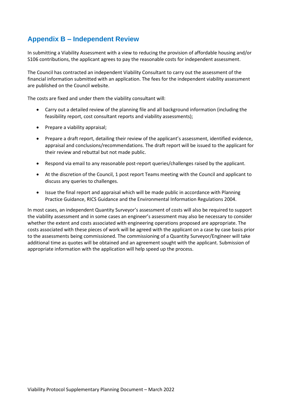## <span id="page-15-0"></span>**Appendix B – Independent Review**

In submitting a Viability Assessment with a view to reducing the provision of affordable housing and/or S106 contributions, the applicant agrees to pay the reasonable costs for independent assessment.

The Council has contracted an independent Viability Consultant to carry out the assessment of the financial information submitted with an application. The fees for the independent viability assessment are published on the Council website.

The costs are fixed and under them the viability consultant will:

- Carry out a detailed review of the planning file and all background information (including the feasibility report, cost consultant reports and viability assessments);
- Prepare a viability appraisal;
- Prepare a draft report, detailing their review of the applicant's assessment, identified evidence, appraisal and conclusions/recommendations. The draft report will be issued to the applicant for their review and rebuttal but not made public.
- Respond via email to any reasonable post-report queries/challenges raised by the applicant.
- At the discretion of the Council, 1 post report Teams meeting with the Council and applicant to discuss any queries to challenges.
- Issue the final report and appraisal which will be made public in accordance with Planning Practice Guidance, RICS Guidance and the Environmental Information Regulations 2004.

In most cases, an independent Quantity Surveyor's assessment of costs will also be required to support the viability assessment and in some cases an engineer's assessment may also be necessary to consider whether the extent and costs associated with engineering operations proposed are appropriate. The costs associated with these pieces of work will be agreed with the applicant on a case by case basis prior to the assessments being commissioned. The commissioning of a Quantity Surveyor/Engineer will take additional time as quotes will be obtained and an agreement sought with the applicant. Submission of appropriate information with the application will help speed up the process.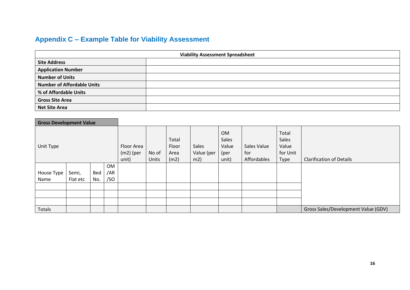## **Appendix C – Example Table for Viability Assessment**

| <b>Viability Assessment Spreadsheet</b> |  |  |  |  |  |  |
|-----------------------------------------|--|--|--|--|--|--|
| <b>Site Address</b>                     |  |  |  |  |  |  |
| <b>Application Number</b>               |  |  |  |  |  |  |
| <b>Number of Units</b>                  |  |  |  |  |  |  |
| <b>Number of Affordable Units</b>       |  |  |  |  |  |  |
| % of Affordable Units                   |  |  |  |  |  |  |
| <b>Gross Site Area</b>                  |  |  |  |  |  |  |
| <b>Net Site Area</b>                    |  |  |  |  |  |  |

<span id="page-16-0"></span>

| <b>Gross Development Value</b> |          |     |           |                                    |                       |                                |                            |                                       |                                   |                                             |                                     |
|--------------------------------|----------|-----|-----------|------------------------------------|-----------------------|--------------------------------|----------------------------|---------------------------------------|-----------------------------------|---------------------------------------------|-------------------------------------|
| Unit Type                      |          |     |           | Floor Area<br>$(m2)$ (per<br>unit) | No of<br><b>Units</b> | Total<br>Floor<br>Area<br>(m2) | Sales<br>Value (per<br>m2) | OM<br>Sales<br>Value<br>(per<br>unit) | Sales Value<br>for<br>Affordables | Total<br>Sales<br>Value<br>for Unit<br>Type | <b>Clarification of Details</b>     |
|                                |          |     | <b>OM</b> |                                    |                       |                                |                            |                                       |                                   |                                             |                                     |
| House Type                     | Semi,    | Bed | /AR       |                                    |                       |                                |                            |                                       |                                   |                                             |                                     |
| Name                           | Flat etc | No. | /SO       |                                    |                       |                                |                            |                                       |                                   |                                             |                                     |
|                                |          |     |           |                                    |                       |                                |                            |                                       |                                   |                                             |                                     |
|                                |          |     |           |                                    |                       |                                |                            |                                       |                                   |                                             |                                     |
|                                |          |     |           |                                    |                       |                                |                            |                                       |                                   |                                             |                                     |
| Totals                         |          |     |           |                                    |                       |                                |                            |                                       |                                   |                                             | Gross Sales/Development Value (GDV) |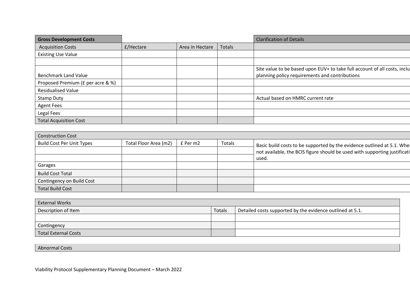| <b>Gross Development Costs</b>    |           |                 |        | <b>Clarification of Details</b>                                           |
|-----------------------------------|-----------|-----------------|--------|---------------------------------------------------------------------------|
| <b>Acquisition Costs</b>          | £/Hectare | Area in Hectare | Totals |                                                                           |
| <b>Existing Use Value</b>         |           |                 |        |                                                                           |
|                                   |           |                 |        |                                                                           |
|                                   |           |                 |        | Site value to be based upon EUV+ to take full account of all costs, inclu |
| <b>Benchmark Land Value</b>       |           |                 |        | planning policy requirements and contributions                            |
| Proposed Premium (£ per acre & %) |           |                 |        |                                                                           |
| <b>Residualised Value</b>         |           |                 |        |                                                                           |
| <b>Stamp Duty</b>                 |           |                 |        | Actual based on HMRC current rate                                         |
| <b>Agent Fees</b>                 |           |                 |        |                                                                           |
| Legal Fees                        |           |                 |        |                                                                           |
| <b>Total Acquisition Cost</b>     |           |                 |        |                                                                           |

| <b>Construction Cost</b>         |                       |          |        |                                                                           |  |  |  |
|----------------------------------|-----------------------|----------|--------|---------------------------------------------------------------------------|--|--|--|
| <b>Build Cost Per Unit Types</b> | Total Floor Area (m2) | £ Per m2 | Totals | Basic build costs to be supported by the evidence outlined at 5.1. When   |  |  |  |
|                                  |                       |          |        | not available, the BCIS figure should be used with supporting justificati |  |  |  |
|                                  |                       |          |        | used.                                                                     |  |  |  |
| Garages                          |                       |          |        |                                                                           |  |  |  |
| <b>Build Cost Total</b>          |                       |          |        |                                                                           |  |  |  |
| Contingency on Build Cost        |                       |          |        |                                                                           |  |  |  |
| <b>Total Build Cost</b>          |                       |          |        |                                                                           |  |  |  |

| <b>External Works</b> |        |                                                           |  |  |  |  |
|-----------------------|--------|-----------------------------------------------------------|--|--|--|--|
| Description of Item   | Totals | Detailed costs supported by the evidence outlined at 5.1. |  |  |  |  |
|                       |        |                                                           |  |  |  |  |
| Contingency           |        |                                                           |  |  |  |  |
| Total External Costs  |        |                                                           |  |  |  |  |

Abnormal Costs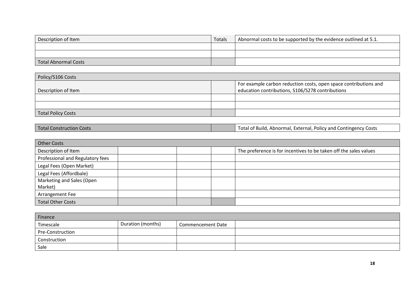| Description of Item  | Totals | Abnormal costs to be supported by the evidence outlined at 5.1. |
|----------------------|--------|-----------------------------------------------------------------|
|                      |        |                                                                 |
|                      |        |                                                                 |
| Total Abnormal Costs |        |                                                                 |

| Policy/S106 Costs         |  |                                                                                                                      |  |  |  |  |
|---------------------------|--|----------------------------------------------------------------------------------------------------------------------|--|--|--|--|
| Description of Item       |  | For example carbon reduction costs, open space contributions and<br>education contributions, S106/S278 contributions |  |  |  |  |
|                           |  |                                                                                                                      |  |  |  |  |
|                           |  |                                                                                                                      |  |  |  |  |
| <b>Total Policy Costs</b> |  |                                                                                                                      |  |  |  |  |

| <b>Other Costs</b>               |  |  |  |                                                                   |  |  |
|----------------------------------|--|--|--|-------------------------------------------------------------------|--|--|
| Description of Item              |  |  |  | The preference is for incentives to be taken off the sales values |  |  |
| Professional and Regulatory fees |  |  |  |                                                                   |  |  |
| Legal Fees (Open Market)         |  |  |  |                                                                   |  |  |
| Legal Fees (Affordbale)          |  |  |  |                                                                   |  |  |
| Marketing and Sales (Open        |  |  |  |                                                                   |  |  |
| Market)                          |  |  |  |                                                                   |  |  |
| Arrangement Fee                  |  |  |  |                                                                   |  |  |
| <b>Total Other Costs</b>         |  |  |  |                                                                   |  |  |

| Finance          |                   |                   |  |  |  |  |
|------------------|-------------------|-------------------|--|--|--|--|
| Timescale        | Duration (months) | Commencement Date |  |  |  |  |
| Pre-Construction |                   |                   |  |  |  |  |
| Construction     |                   |                   |  |  |  |  |
| Sale             |                   |                   |  |  |  |  |